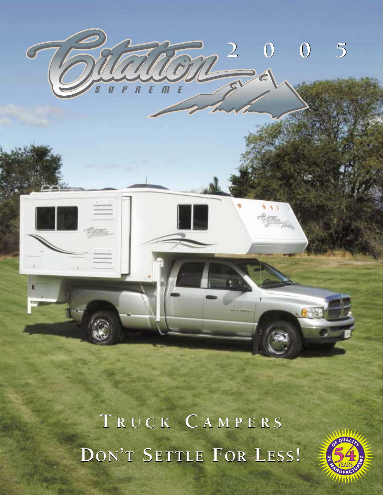

**T RUCK C AMPERS T RUCK C AMPERS DON'T SETTLE FOR LESS! DON'T SETTLE FOR LESS!**

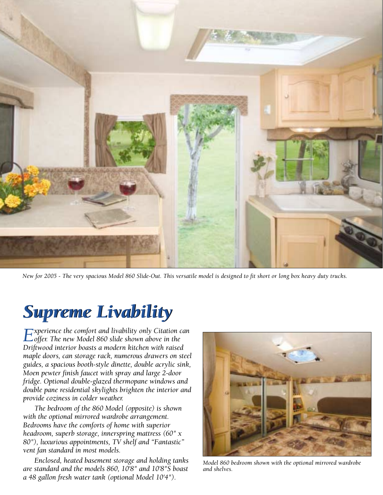

*New for 2005 - The very spacious Model 860 Slide-Out. This versatile model is designed to fit short or long box heavy duty trucks.*

# *Supreme Livability Supreme Livability*

*Experience the comfort and livability only Citation can*<br> *offer. The new Model 860 slide shown above in the Driftwood interior boasts a modern kitchen with raised maple doors, can storage rack, numerous drawers on steel guides, a spacious booth-style dinette, double acrylic sink, Moen pewter finish faucet with spray and large 2-door fridge. Optional double-glazed thermopane windows and double pane residential skylights brighten the interior and provide coziness in colder weather.*

*The bedroom of the 860 Model (opposite) is shown with the optional mirrored wardrobe arrangement. Bedrooms have the comforts of home with superior headroom, superb storage, innerspring mattress (60" x 80"), luxurious appointments, TV shelf and "Fantastic" vent fan standard in most models.*

*Enclosed, heated basement storage and holding tanks are standard and the models 860, 10'8" and 10'8"S boast a 48 gallon fresh water tank (optional Model 10'4").*

![](_page_1_Picture_6.jpeg)

*Model 860 bedroom shown with the optional mirrored wardrobe and shelves.*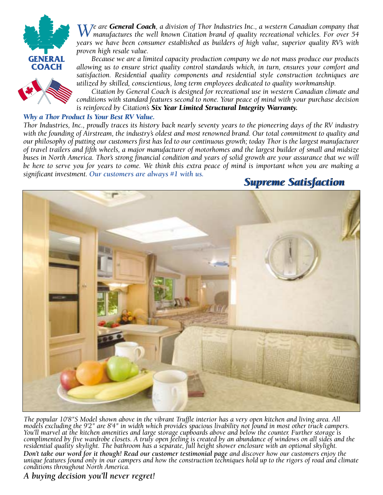![](_page_2_Picture_0.jpeg)

![](_page_2_Picture_1.jpeg)

*We are General Coach, a division of Thor Industries Inc., a western Canadian company that manufactures the well known Citation brand of quality recreational vehicles. For over 54 years we have been consumer established as builders of high value, superior quality RV's with proven high resale value.* 

*Because we are a limited capacity production company we do not mass produce our products allowing us to ensure strict quality control standards which, in turn, ensures your comfort and satisfaction. Residential quality components and residential style construction techniques are utilized by skilled, conscientious, long term employees dedicated to quality workmanship.*

*Citation by General Coach is designed for recreational use in western Canadian climate and conditions with standard features second to none. Your peace of mind with your purchase decision is reinforced by Citation's Six Year Limited Structural Integrity Warranty.*

#### *Why a Thor Product Is Your Best RV Value.*

*Thor Industries, Inc., proudly traces its history back nearly seventy years to the pioneering days of the RV industry with the founding of Airstream, the industry's oldest and most renowned brand. Our total commitment to quality and our philosophy of putting our customers first has led to our continuous growth; today Thor is the largest manufacturer of travel trailers and fifth wheels, a major manufacturer of motorhomes and the largest builder of small and midsize* buses in North America. Thor's strong financial condition and years of solid growth are your assurance that we will *be here to serve you for years to come. We think this extra peace of mind is important when you are making a significant investment. Our customers are always #1 with us.*

# *Supreme Satisfaction Supreme Satisfaction*

![](_page_2_Picture_8.jpeg)

*The popular 10'8"S Model shown above in the vibrant Truffle interior has a very open kitchen and living area. All models excluding the 9'2" are 8'4" in width which provides spacious livability not found in most other truck campers. You'll marvel at the kitchen amenities and large storage cupboards above and below the counter. Further storage is complimented by five wardrobe closets. A truly open feeling is created by an abundance of windows on all sides and the residential quality skylight. The bathroom has a separate, full height shower enclosure with an optional skylight.*

Don't take our word for it though! Read our customer testimonial page and discover how our customers enjoy the<br>unique features found only in our campers and how the construction techniques hold up to the rigors of road and *conditions throughout North America.*

### *A buying decision you'll never regret!*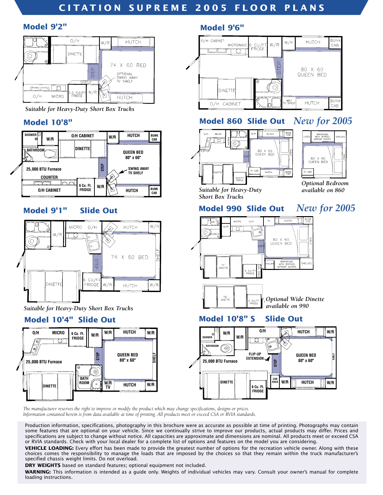# **CITATION SUPREME 2005 FLOOR PLANS**

#### **Model 9'2"**

![](_page_3_Figure_2.jpeg)

*Suitable for Heavy-Duty Short Box Trucks*

### **Model 10'8"**

![](_page_3_Figure_5.jpeg)

### **Model 9'1" Slide Out**

![](_page_3_Figure_7.jpeg)

*Suitable for Heavy-Duty Short Box Trucks*

![](_page_3_Figure_10.jpeg)

#### **Model 9'6"**

![](_page_3_Figure_12.jpeg)

# **Model 860 Slide Out** *New for 2005*

![](_page_3_Figure_14.jpeg)

![](_page_3_Picture_15.jpeg)

*Optional Bedroom available on 860*

*Suitable for Heavy-Duty Short Box Trucks*

## **Model 990 Slide Out** *New for 2005*

![](_page_3_Figure_19.jpeg)

# **Model 10'4" Slide Out Model 10'8" S Slide Out**

![](_page_3_Figure_21.jpeg)

*The manufacturer reserves the right to improve or modify the product which may change specifications, designs or prices. Information contained herein is from data available at time of printing. All products meet or exceed CSA or RVIA standards.*

Production information, specifications, photography in this brochure were as accurate as possible at time of printing. Photographs may contain some features that are optional on your vehicle. Since we continually strive to improve our products, actual products may differ. Prices and specifications are subject to change without notice. All capacities are approximate and dimensions are nominal. All products meet or exceed CSA or RVIA standards. Check with your local dealer for a complete list of options and features on the model you are considering.

**VEHICLE LOADING:** Every effort has been made to provide the greatest number of options for the recreation vehicle owner. Along with these choices comes the responsibility to manage the loads that are imposed by the choices so that they remain within the truck manufacturer's specified chassis weight limits. Do not overload.

**DRY WEIGHTS** based on standard features; optional equipment not included.

**WARNING:** This information is intended as a guide only. Weights of individual vehicles may vary. Consult your owner's manual for complete loading instructions.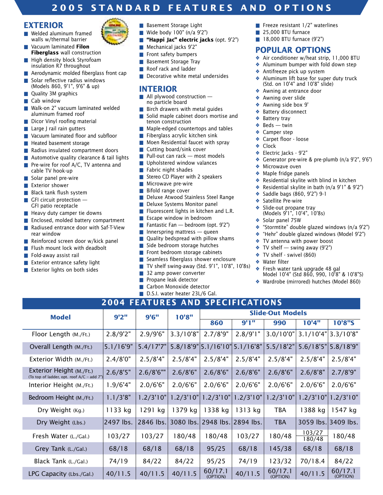### **2005 STANDARD FEATURES AND OPTIONS**

#### **EXTERIOR**

- Welded aluminum framed walls w/thermal barrier
- Vacuum laminated **Filon Fiberglass** wall construction
- High density block Styrofoam insulation R7 throughout
- Aerodynamic molded fiberglass front cap
- Solar reflective radius windows (Models 860, 9'1", 9'6" & up)
- Quality 3M graphics
- Cab window
- Walk-on 2" vacuum laminated welded aluminum framed roof
- Dicor Vinyl roofing material
- Large J rail rain gutters
- Vacuum laminated floor and subfloor
- Heated basement storage
- Radius insulated compartment doors
- Automotive quality clearance & tail lights
- Pre-wire for roof A/C, TV antenna and cable TV hook-up
- Solar panel pre-wire
- Exterior shower
- Black tank flush system
- GFI circuit protection -GFI patio receptacle
- Heavy duty camper tie downs
- Enclosed, molded battery compartment
- Radiused entrance door with Saf-T-View rear window
- Reinforced screen door w/kick panel
- Flush mount lock with deadbolt
- Fold-away assist rail
- Exterior entrance safety light
- Exterior lights on both sides

(To top of ladder, opt. roof A/C – add 7")

- Basement Storage Light
- Wide body 100" (n/a 9'2")
- **"Happi Jac" electric jacks** (opt. 9'2")
- Mechanical jacks 9'2"
- Front safety bumpers
- Basement Storage Tray
- Roof rack and ladder
- Decorative white metal undersides

#### **INTERIOR**

- All plywood construction no particle board
- Birch drawers with metal guides
- Solid maple cabinet doors mortise and tenon construction
- Maple-edged countertops and tables
- Fiberglass acrylic kitchen sink
- Moen Residential faucet with spray
- Cutting board/sink cover
- $\blacksquare$  Pull-out can rack most models
- Upholstered window valances
- Fabric night shades
- Stereo CD Player with 2 speakers
- Microwave pre-wire
- Bifold range cover
- Deluxe Atwood Stainless Steel Range
- Deluxe Systems Monitor panel
- Fluorescent lights in kitchen and L.R.
- Escape window in bedroom
- Fantastic Fan bedroom (opt. 9'2")
- $\blacksquare$  Innerspring mattress queen
- Quality bedspread with pillow shams
- Side bedroom storage hutches
- Front bedroom storage cabinets
- Seamless fiberglass shower enclosure
- TV shelf swing-away (Std. 9'1", 10'8", 10'8s)
- 32 amp power converter
- Propane leak detector
- Carbon Monoxide detector
- D.S.I. water heater 23L/6 Gal. **2004 FEATURES AND SPECIFICATIONS**

**Model 9'2" 9'6" 10'8" Slide-Out Models**

Floor Length (M./Ft.) | 2.8/9'2" | 2.9/9'6" | 3.3/10'8" | 2.7/8'9" | 2.8/9'1" | 3.0/10'0" | 3.1/10'4" | 3.3/10'8"

Overall Length (M./Ft.) 5.1/16'9" | 5.4/17'7" | 5.8/18'9" | 5.1/16'10" | 5.1/16'8" | 5.5/18'2" | 5.6/18'5" | 5.8/18'9" Exterior Width (M./Ft.) 2.4/8'0" 2.5/8'4" 2.5/8'4" 2.5/8'4" 2.5/8'4" 2.5/8'4" 2.5/8'4" 2.5/8'4" Exterior Height (M./Ft.) 2.6/8'5" 2.6/8'6"" 2.6/8'6" 2.6/8'6" 2.6/8'6" 2.6/8'6" 2.6/8'8" 2.7/8'9"

Interior Height (M./Ft.) 1.9/6'4" 2.0/6'6" 2.0/6'6" 2.0/6'6" 2.0/6'6" 2.0/6'6" 2.0/6'6" 2.0/6'6" Bedroom Height (M./Ft.) 1.1/3'8" 1.2/3'10" 1.2/3'10" 1.2/3'10" 1.2/3'10" 1.2/3'10" 1.2/3'10" 1.2/3'10"

Dry Weight (Kg.) | 1133 kg | 1291 kg | 1379 kg | 1338 kg | 1313 kg | TBA | 1388 kg | 1547 kg

Dry Weight (Lbs.) 2497 lbs. 2846 lbs. 3080 lbs. 2948 lbs. 2894 lbs. TBA 3059 lbs. 3409 lbs. Fresh Water (L./Gal.) 103/27 103/27 180/48 180/48 103/27 180/48 103/27 180/48

Grey Tank (L./Gal.) | 68/18 | 68/18 | 68/18 | 95/25 | 68/18 | 145/38 | 68/18 | 68/18 Black Tank (L./Gal.) 74/19 84/22 84/22 95/25 74/19 123/32 70/18.4 84/22

LPG Capacity (Lbs./Gal.) 40/11.5 40/11.5 40/11.5 60/17.1 40/11.5 60/17.1 40/11.5 60/17.1

- Freeze resistant 1/2" waterlines
- 25,000 BTU furnace
- 18,000 BTU furnace (9'2")

#### **POPULAR OPTIONS**

- ❖ Air conditioner w/heat strip, 11,000 BTU
- ❖ Aluminum bumper with fold down step
- ❖ Antifreeze pick up system
- ❖ Aluminum lift base for super duty truck (Std. on 10'4" and 10'8" slide)
- ❖ Awning at entrance door
- ❖ Awning over slide
- ❖ Awning side box 9'
- ❖ Battery disconnect
- ❖ Battery tray
- $\triangleleft$  Beds twin
- ❖ Camper step
- ❖ Carpet floor loose
- ❖ Clock
- ❖ Electric Jacks 9'2"
- ❖ Generator pre-wire & pre-plumb (n/a 9'2", 9'6")
- ❖ Microwave oven
- ❖ Maple fridge panels
- ❖ Residential skylite with blind in kitchen
- ❖ Residential skylite in bath (n/a 9'1" & 9'2")
- ❖ Saddle bags (860, 9'2") 9-1
- ❖ Satellite Pre-wire
- Slide-out propane tray
- (Models 9'1", 10'4", 10'8s)
- ❖ Solar panel 75W
- ❖ "Stormtite" double glazed windows (n/a 9'2")

Model 10'4" (Std 860, 990, 10'8" & 10'8"S) ❖ Wardrobe (mirrored) hutches (Model 860)

**860 9'1" 990 10'4" 10'8"S**

(OPTION) (OPTION) (OPTION)

180/48

- ❖ "Hehr" double glazed windows (Model 9'2")
- ❖ TV antenna with power boost
- $\cdot$  TV shelf swing away (9'2")
- ❖ TV shelf swivel (860)
- ❖ Water filter ❖ Fresh water tank upgrade 48 gal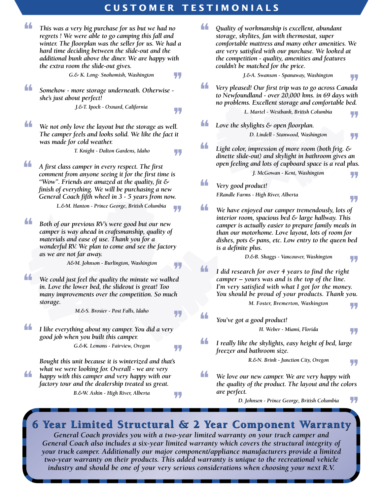### **CUSTOMER TESTIMONIALS**

![](_page_5_Picture_1.jpeg)

*General Coach provides you with a two-year limited warranty on your truck camper and General Coach also includes a six-year limited warranty which covers the structural integrity of your truck camper. Additionally our major component/appliance manufacturers provide a limited two-year warranty on their products. This added warranty is unique to the recreational vehicle industry and should be one of your very serious considerations when choosing your next R.V.*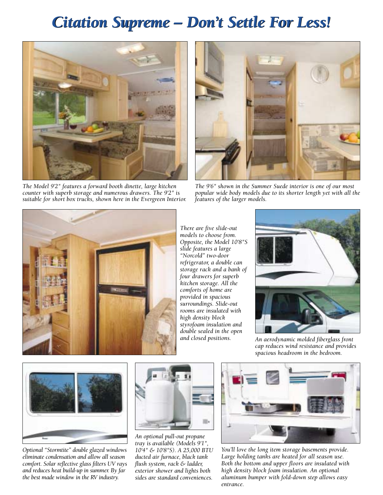# *Citation Supreme – Don't Settle For Less! Citation Supreme – Don't Settle For Less!*

![](_page_6_Picture_1.jpeg)

*The Model 9'2" features a forward booth dinette, large kitchen counter with superb storage and numerous drawers. The 9'2" is suitable for short box trucks, shown here in the Evergreen Interior.*

![](_page_6_Picture_3.jpeg)

*The 9'6" shown in the Summer Suede interior is one of our most popular wide body models due to its shorter length yet with all the features of the larger models.*

![](_page_6_Picture_5.jpeg)

*There are five slide-out models to choose from. Opposite, the Model 10'8"S slide features a large "Norcold" two-door refrigerator, a double can storage rack and a bank of four drawers for superb kitchen storage. All the comforts of home are provided in spacious surroundings. Slide-out rooms are insulated with high density block styrofoam insulation and double sealed in the open*

![](_page_6_Picture_7.jpeg)

*and closed positions. An aerodynamic molded fiberglass front cap reduces wind resistance and provides spacious headroom in the bedroom.*

![](_page_6_Picture_9.jpeg)

*Optional "Stormtite" double glazed windows eliminate condensation and allow all season comfort. Solar reflective glass filters UV rays and reduces heat build-up in summer. By far the best made window in the RV industry.*

![](_page_6_Picture_11.jpeg)

*An optional pull-out propane tray is available (Models 9'1", 10'4" & 10'8"S). A 25,000 BTU ducted air furnace, black tank flush system, rack & ladder, exterior shower and lights both sides are standard conveniences.*

![](_page_6_Picture_13.jpeg)

*You'll love the long item storage basements provide. Large holding tanks are heated for all season use. Both the bottom and upper floors are insulated with high density block foam insulation. An optional aluminum bumper with fold-down step allows easy entrance.*